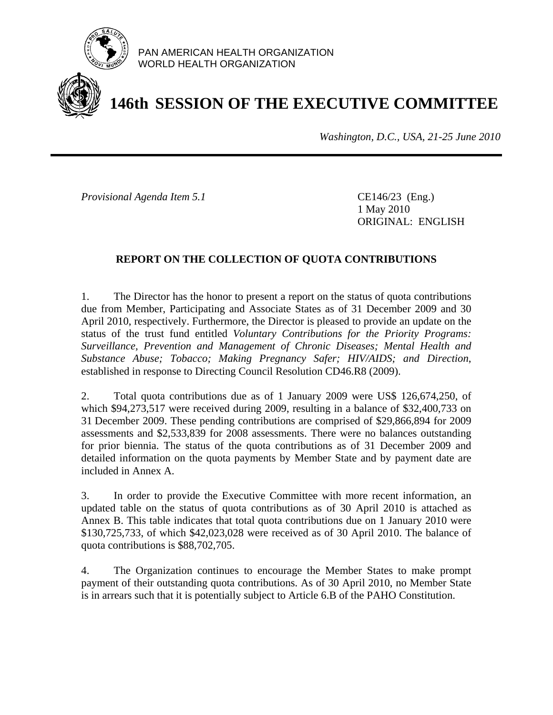

PAN AMERICAN HEALTH ORGANIZATION WORLD HEALTH ORGANIZATION

# **146th SESSION OF THE EXECUTIVE COMMITTEE**

*Washington, D.C., USA, 21-25 June 2010*

*Provisional Agenda Item 5.1* **CE146/23** (Eng.)

 1 May 2010 ORIGINAL: ENGLISH

# **REPORT ON THE COLLECTION OF QUOTA CONTRIBUTIONS**

1. The Director has the honor to present a report on the status of quota contributions due from Member, Participating and Associate States as of 31 December 2009 and 30 April 2010, respectively. Furthermore, the Director is pleased to provide an update on the status of the trust fund entitled *Voluntary Contributions for the Priority Programs: Surveillance, Prevention and Management of Chronic Diseases; Mental Health and Substance Abuse; Tobacco; Making Pregnancy Safer; HIV/AIDS; and Direction*, established in response to Directing Council Resolution CD46.R8 (2009).

2. Total quota contributions due as of 1 January 2009 were US\$ 126,674,250, of which \$94,273,517 were received during 2009, resulting in a balance of \$32,400,733 on 31 December 2009. These pending contributions are comprised of \$29,866,894 for 2009 assessments and \$2,533,839 for 2008 assessments. There were no balances outstanding for prior biennia. The status of the quota contributions as of 31 December 2009 and detailed information on the quota payments by Member State and by payment date are included in Annex A.

3. In order to provide the Executive Committee with more recent information, an updated table on the status of quota contributions as of 30 April 2010 is attached as Annex B. This table indicates that total quota contributions due on 1 January 2010 were \$130,725,733, of which \$42,023,028 were received as of 30 April 2010. The balance of quota contributions is \$88,702,705.

4. The Organization continues to encourage the Member States to make prompt payment of their outstanding quota contributions. As of 30 April 2010, no Member State is in arrears such that it is potentially subject to Article 6.B of the PAHO Constitution.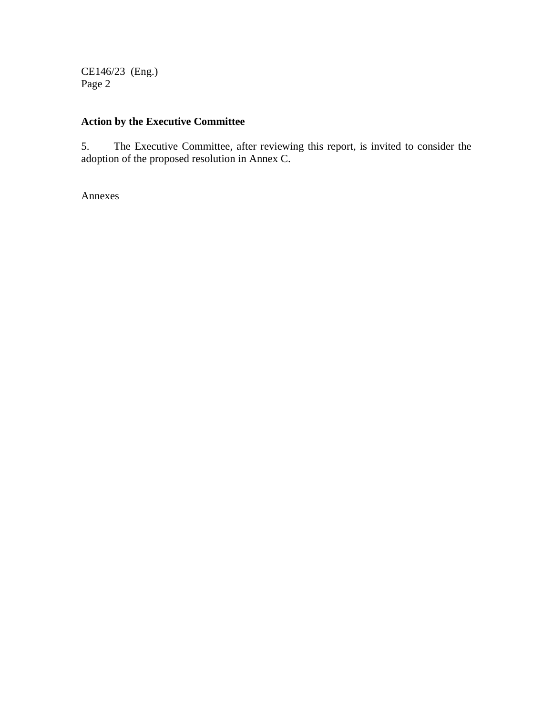CE146/23 (Eng.) Page 2

# **Action by the Executive Committee**

5. The Executive Committee, after reviewing this report, is invited to consider the adoption of the proposed resolution in Annex C.

Annexes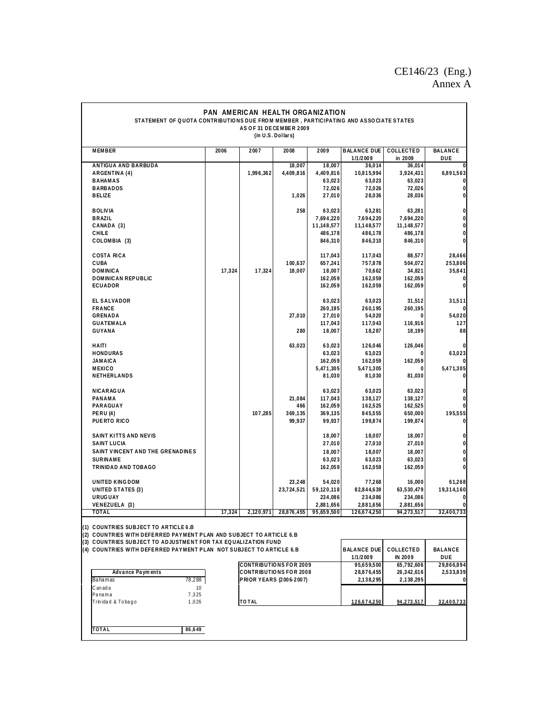# CE146/23 (Eng.) Annex A

| PAN AMERICAN HEALTH ORGANIZATION                                                                                                                                                                                 |                                                                                                                                     |                                                                                                  |                                    |                                         |                                          |                                           |                                  |  |  |
|------------------------------------------------------------------------------------------------------------------------------------------------------------------------------------------------------------------|-------------------------------------------------------------------------------------------------------------------------------------|--------------------------------------------------------------------------------------------------|------------------------------------|-----------------------------------------|------------------------------------------|-------------------------------------------|----------------------------------|--|--|
|                                                                                                                                                                                                                  | STATEMENT OF QUOTA CONTRIBUTIONS DUE FROM MEMBER, PARTICIPATING AND ASSOCIATE STATES<br>AS OF 31 DECEMBER 2009<br>(in U.S. Dollars) |                                                                                                  |                                    |                                         |                                          |                                           |                                  |  |  |
| <b>MEMBER</b>                                                                                                                                                                                                    | 2006                                                                                                                                | 2007                                                                                             | 2008                               | 2009                                    | <b>BALANCE DUE</b><br>1/1/2009           | COLLECTED<br>in 2009                      | BALANCE<br>DUE                   |  |  |
| ANTIGUA AND BARBUDA<br>ARGENTINA (4)                                                                                                                                                                             |                                                                                                                                     | 1,996,362                                                                                        | 18,007<br>4,409,816                | 18,007<br>4,409,816                     | 36,014<br>10,815,994                     | 36,014<br>3,924,431                       | 6,891,563                        |  |  |
| <b>BAHAMAS</b><br><b>BARBADOS</b><br><b>BELIZE</b>                                                                                                                                                               |                                                                                                                                     |                                                                                                  | 1,026                              | 63,023<br>72,026<br>27,010              | 63,023<br>72,026<br>28,036               | 63,023<br>72,026<br>28,036                | O<br>0<br>0                      |  |  |
| <b>BOLIVIA</b>                                                                                                                                                                                                   |                                                                                                                                     |                                                                                                  | 258                                | 63,023                                  | 63,281                                   | 63,281                                    | 0                                |  |  |
| <b>BRAZIL</b><br>CANADA (3)<br>CHILE                                                                                                                                                                             |                                                                                                                                     |                                                                                                  |                                    | 7,694,220<br>11,148,577<br>486,178      | 7,694,220<br>11,148,577<br>486,178       | 7,694,220<br>11, 148, 577<br>486,178      | 0<br>0<br>0                      |  |  |
| COLOMBIA (3)<br><b>COSTA RICA</b>                                                                                                                                                                                |                                                                                                                                     |                                                                                                  |                                    | 846,310<br>117,043                      | 846,310<br>117,043                       | 846,310<br>88,577                         | 0<br>28,466                      |  |  |
| CUBA<br><b>DOMINICA</b>                                                                                                                                                                                          | 17,324                                                                                                                              | 17,324                                                                                           | 100,637<br>18,007                  | 657,241<br>18,007                       | 757,878<br>70,662                        | 504,072<br>34,821                         | 253,806<br>35,841                |  |  |
| <b>DOMINICAN REPUBLIC</b><br>ECUADOR                                                                                                                                                                             |                                                                                                                                     |                                                                                                  |                                    | 162,059<br>162,059                      | 162,059<br>162,059                       | 162,059<br>162,059                        | 0<br>0                           |  |  |
| <b>EL SALVADOR</b><br>FRANCE                                                                                                                                                                                     |                                                                                                                                     |                                                                                                  |                                    | 63,023<br>260,195                       | 63,023<br>260,195                        | 31,512<br>260,195                         | 31,511                           |  |  |
| GRENADA<br><b>GUATEMALA</b><br>GUYANA                                                                                                                                                                            |                                                                                                                                     |                                                                                                  | 27,010<br>280                      | 27,010<br>117,043<br>18,007             | 54,020<br>117,043<br>18,287              | 0<br>116,916<br>18,199                    | 54,020<br>127<br>88              |  |  |
| HAITI<br><b>HONDURAS</b>                                                                                                                                                                                         |                                                                                                                                     |                                                                                                  | 63,023                             | 63,023<br>63,023                        | 126,046<br>63,023                        | 126,046<br>0                              | 63,023                           |  |  |
| <b>JAMAICA</b><br><b>MEXICO</b><br>NETHERLANDS                                                                                                                                                                   |                                                                                                                                     |                                                                                                  |                                    | 162,059<br>5,471,305<br>81,030          | 162,059<br>5,471,305<br>81,030           | 162,059<br>0<br>81,030                    | 5,471,305<br>0                   |  |  |
| <b>NICARAGUA</b>                                                                                                                                                                                                 |                                                                                                                                     |                                                                                                  |                                    | 63,023                                  | 63,023                                   | 63,023                                    | 0                                |  |  |
| PANAMA<br>PARAGUAY<br><b>PERU(4)</b><br>PUERTO RICO                                                                                                                                                              |                                                                                                                                     | 107,285                                                                                          | 21,084<br>466<br>369,135<br>99,937 | 117,043<br>162,059<br>369,135<br>99,937 | 138,127<br>162,525<br>845,555<br>199,874 | 138,127<br>162,525<br>650,000<br>199,874  | 0<br>195,555                     |  |  |
| SAINT KITTS AND NEVIS                                                                                                                                                                                            |                                                                                                                                     |                                                                                                  |                                    | 18,007                                  | 18,007                                   | 18,007                                    | 0                                |  |  |
| <b>SAINT LUCIA</b><br>SAINT VINCENT AND THE GRENADINES<br><b>SURINAME</b>                                                                                                                                        |                                                                                                                                     |                                                                                                  |                                    | 27,010<br>18,007<br>63,023              | 27,010<br>18,007<br>63,023               | 27,010<br>18,007<br>63,023                | 0<br>0<br>$\bf{0}$               |  |  |
| TRINIDAD AND TOBAGO                                                                                                                                                                                              |                                                                                                                                     |                                                                                                  |                                    | 162,059                                 | 162,059                                  | 162,059                                   | 0                                |  |  |
| UNITED KINGDOM<br><b>UNITED STATES (3)</b><br><b>URUGUAY</b>                                                                                                                                                     |                                                                                                                                     |                                                                                                  | 23,248<br>23,724,521               | 54,020<br>59,120,118<br>234,086         | 77,268<br>82,844,639<br>234,086          | 16,000<br>63,530,479<br>234,086           | 61,268<br>19,314,160<br>$\Omega$ |  |  |
| VENEZUELA (3)<br>TOTAL                                                                                                                                                                                           | 17,324                                                                                                                              | 2,120,971                                                                                        | 28,876,455                         | 2,881,656<br>95,659,500                 | 2,881,656<br>126,674,250                 | 2,881,656<br>94, 273, 517                 | 0<br>32,400,733                  |  |  |
| (1) COUNTRIES SUBJECT TO ARTICLE 6.B<br>(2) COUNTRIES WITH DEFERRED PAYMENT PLAN AND SUBJECT TO ARTICLE 6.B                                                                                                      |                                                                                                                                     |                                                                                                  |                                    |                                         |                                          |                                           |                                  |  |  |
| (3) COUNTRIES SUBJECT TO ADJUSTMENT FOR TAX EQUALIZATION FUND<br>(4) COUNTRIES WITH DEFERRED PAYMENT PLAN NOT SUBJECT TO ARTICLE 6.B<br><b>BALANCE DUE</b><br>COLLECTED<br>BALANCE<br>1/1/2009<br>IN 2009<br>DUE |                                                                                                                                     |                                                                                                  |                                    |                                         |                                          |                                           |                                  |  |  |
| Advance Payments<br>78,288<br>Bahamas                                                                                                                                                                            |                                                                                                                                     | <b>CONTRIBUTIONS FOR 2009</b><br><b>CONTRIBUTIONS FOR 2008</b><br><b>PRIOR YEARS (2006-2007)</b> |                                    |                                         | 95,659,500<br>28,876,455<br>2,138,295    | 65,792,606<br>26, 342, 616<br>2, 138, 295 | 29,866,894<br>2,533,839<br>0     |  |  |
| Canada<br>10<br>Panama<br>7,325<br>Trinidad & Tobago<br>1,026                                                                                                                                                    |                                                                                                                                     | TO TAL                                                                                           |                                    |                                         | 126.674.250                              | 94.273.517                                | 32.400.733                       |  |  |
|                                                                                                                                                                                                                  |                                                                                                                                     |                                                                                                  |                                    |                                         |                                          |                                           |                                  |  |  |
| <b>TOTAL</b><br>86,649                                                                                                                                                                                           |                                                                                                                                     |                                                                                                  |                                    |                                         |                                          |                                           |                                  |  |  |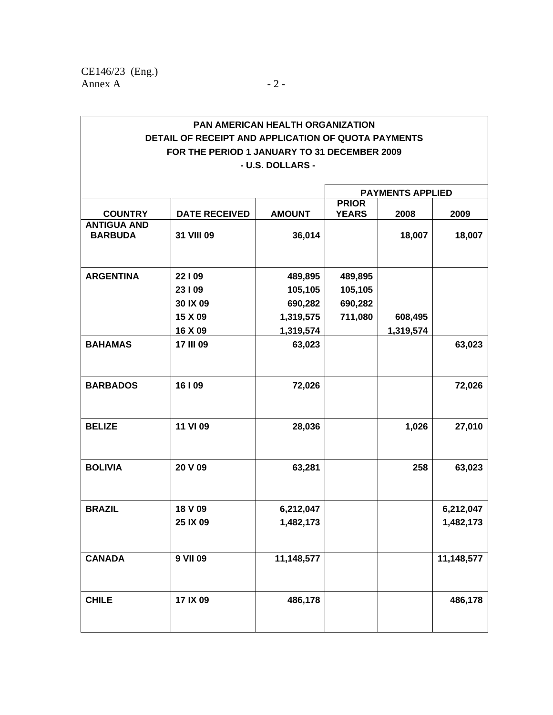|                                      |                      |               | <b>PAYMENTS APPLIED</b>      |           |            |
|--------------------------------------|----------------------|---------------|------------------------------|-----------|------------|
| <b>COUNTRY</b>                       | <b>DATE RECEIVED</b> | <b>AMOUNT</b> | <b>PRIOR</b><br><b>YEARS</b> | 2008      | 2009       |
| <b>ANTIGUA AND</b><br><b>BARBUDA</b> | 31 VIII 09           | 36,014        |                              | 18,007    | 18,007     |
| <b>ARGENTINA</b>                     | 22109                | 489,895       | 489,895                      |           |            |
|                                      | 23109                | 105,105       | 105,105                      |           |            |
|                                      | 30 IX 09             | 690,282       | 690,282                      |           |            |
|                                      | 15 X 09              | 1,319,575     | 711,080                      | 608,495   |            |
|                                      | 16 X 09              | 1,319,574     |                              | 1,319,574 |            |
| <b>BAHAMAS</b>                       | 17 III 09            | 63,023        |                              |           | 63,023     |
| <b>BARBADOS</b>                      | 16   09              | 72,026        |                              |           | 72,026     |
| <b>BELIZE</b>                        | 11 VI 09             | 28,036        |                              | 1,026     | 27,010     |
| <b>BOLIVIA</b>                       | 20 V 09              | 63,281        |                              | 258       | 63,023     |
| <b>BRAZIL</b>                        | 18 V 09              | 6,212,047     |                              |           | 6,212,047  |
|                                      | 25 IX 09             | 1,482,173     |                              |           | 1,482,173  |
| <b>CANADA</b>                        | 9 VII 09             | 11,148,577    |                              |           | 11,148,577 |
| <b>CHILE</b>                         | 17 IX 09             | 486,178       |                              |           | 486,178    |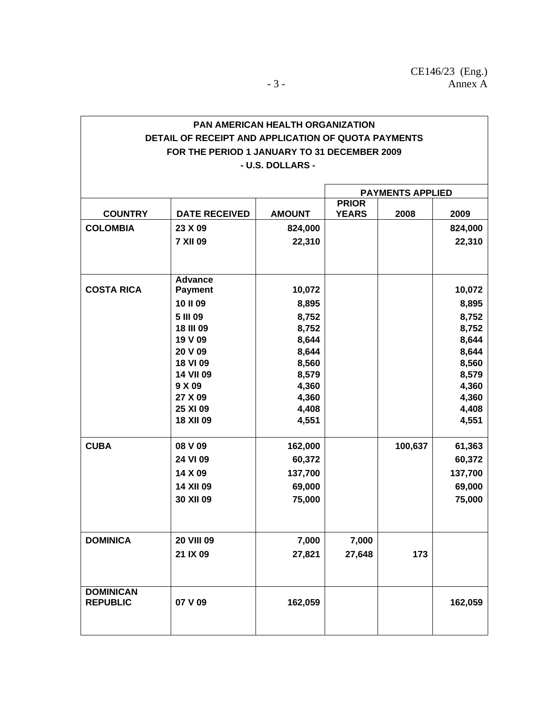|                   |                            |                | <b>PAYMENTS APPLIED</b> |         |                |
|-------------------|----------------------------|----------------|-------------------------|---------|----------------|
|                   |                            |                | <b>PRIOR</b>            |         |                |
| <b>COUNTRY</b>    | <b>DATE RECEIVED</b>       | <b>AMOUNT</b>  | <b>YEARS</b>            | 2008    | 2009           |
| <b>COLOMBIA</b>   | 23 X 09                    | 824,000        |                         |         | 824,000        |
|                   | <b>7 XII 09</b>            | 22,310         |                         |         | 22,310         |
|                   |                            |                |                         |         |                |
|                   | <b>Advance</b>             |                |                         |         |                |
| <b>COSTA RICA</b> | <b>Payment</b>             | 10,072         |                         |         | 10,072         |
|                   | 10 II 09                   | 8,895          |                         |         | 8,895          |
|                   | 5 III 09                   | 8,752          |                         |         | 8,752          |
|                   | <b>18 III 09</b>           | 8,752          |                         |         | 8,752          |
|                   | 19 V 09                    | 8,644          |                         |         | 8,644          |
|                   | 20 V 09                    | 8,644          |                         |         | 8,644          |
|                   | 18 VI 09                   | 8,560          |                         |         | 8,560          |
|                   | <b>14 VII 09</b><br>9 X 09 | 8,579<br>4,360 |                         |         | 8,579<br>4,360 |
|                   | 27 X 09                    | 4,360          |                         |         | 4,360          |
|                   | 25 XI 09                   | 4,408          |                         |         | 4,408          |
|                   | <b>18 XII 09</b>           | 4,551          |                         |         | 4,551          |
|                   |                            |                |                         |         |                |
| <b>CUBA</b>       | 08 V 09                    | 162,000        |                         | 100,637 | 61,363         |
|                   | 24 VI 09                   | 60,372         |                         |         | 60,372         |
|                   | 14 X 09                    | 137,700        |                         |         | 137,700        |
|                   | <b>14 XII 09</b>           | 69,000         |                         |         | 69,000         |
|                   | 30 XII 09                  | 75,000         |                         |         | 75,000         |
|                   |                            |                |                         |         |                |
| <b>DOMINICA</b>   | <b>20 VIII 09</b>          | 7,000          | 7,000                   |         |                |
|                   | 21 IX 09                   | 27,821         | 27,648                  | 173     |                |
|                   |                            |                |                         |         |                |
| <b>DOMINICAN</b>  |                            |                |                         |         |                |
| <b>REPUBLIC</b>   | 07 V 09                    | 162,059        |                         |         | 162,059        |
|                   |                            |                |                         |         |                |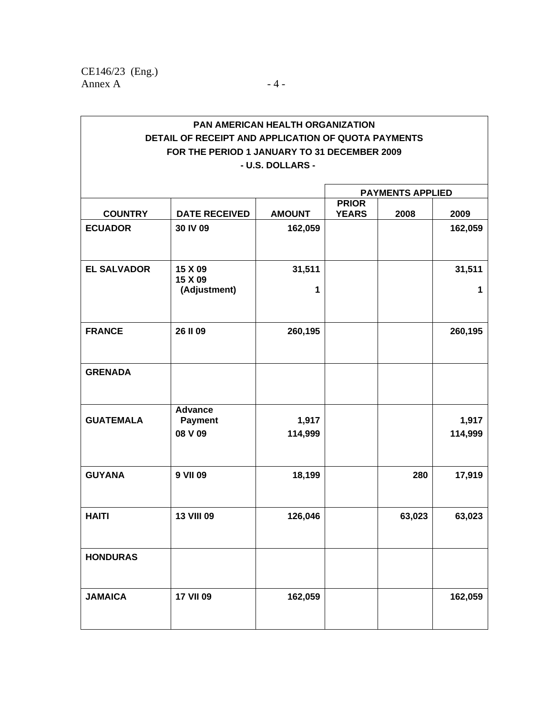|                    |                                             |                  | <b>PAYMENTS APPLIED</b>      |        |                  |
|--------------------|---------------------------------------------|------------------|------------------------------|--------|------------------|
| <b>COUNTRY</b>     | <b>DATE RECEIVED</b>                        | <b>AMOUNT</b>    | <b>PRIOR</b><br><b>YEARS</b> | 2008   | 2009             |
| <b>ECUADOR</b>     | 30 IV 09                                    | 162,059          |                              |        | 162,059          |
| <b>EL SALVADOR</b> | 15 X 09<br>15 X 09<br>(Adjustment)          | 31,511<br>1      |                              |        | 31,511<br>1      |
| <b>FRANCE</b>      | 26 II 09                                    | 260,195          |                              |        | 260,195          |
| <b>GRENADA</b>     |                                             |                  |                              |        |                  |
| <b>GUATEMALA</b>   | <b>Advance</b><br><b>Payment</b><br>08 V 09 | 1,917<br>114,999 |                              |        | 1,917<br>114,999 |
| <b>GUYANA</b>      | 9 VII 09                                    | 18,199           |                              | 280    | 17,919           |
| <b>HAITI</b>       | <b>13 VIII 09</b>                           | 126,046          |                              | 63,023 | 63,023           |
| <b>HONDURAS</b>    |                                             |                  |                              |        |                  |
| <b>JAMAICA</b>     | <b>17 VII 09</b>                            | 162,059          |                              |        | 162,059          |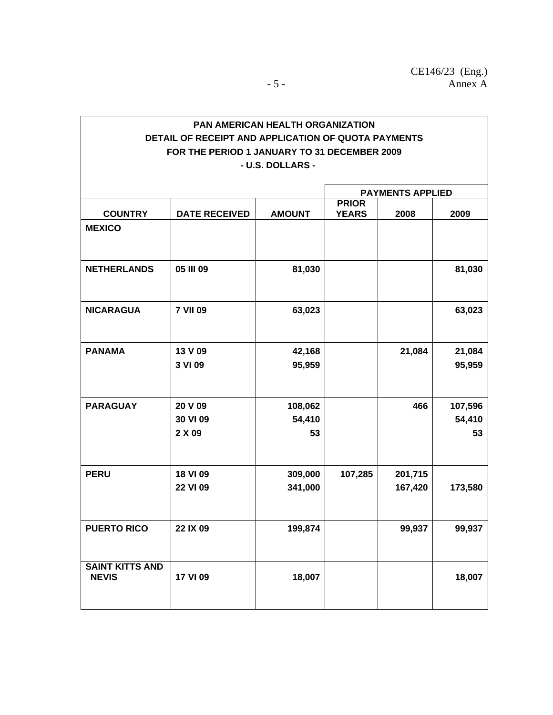|                                        |                      |                    | <b>PAYMENTS APPLIED</b>      |                    |                   |
|----------------------------------------|----------------------|--------------------|------------------------------|--------------------|-------------------|
| <b>COUNTRY</b>                         | <b>DATE RECEIVED</b> | <b>AMOUNT</b>      | <b>PRIOR</b><br><b>YEARS</b> | 2008               | 2009              |
| <b>MEXICO</b>                          |                      |                    |                              |                    |                   |
| <b>NETHERLANDS</b>                     | 05 III 09            | 81,030             |                              |                    | 81,030            |
| <b>NICARAGUA</b>                       | <b>7 VII 09</b>      | 63,023             |                              |                    | 63,023            |
| <b>PANAMA</b>                          | 13 V 09<br>3 VI 09   | 42,168<br>95,959   |                              | 21,084             | 21,084<br>95,959  |
| <b>PARAGUAY</b>                        | 20 V 09<br>30 VI 09  | 108,062<br>54,410  |                              | 466                | 107,596<br>54,410 |
|                                        | 2 X 09               | 53                 |                              |                    | 53                |
| <b>PERU</b>                            | 18 VI 09<br>22 VI 09 | 309,000<br>341,000 | 107,285                      | 201,715<br>167,420 | 173,580           |
| <b>PUERTO RICO</b>                     | 22 IX 09             | 199,874            |                              | 99,937             | 99,937            |
| <b>SAINT KITTS AND</b><br><b>NEVIS</b> | 17 VI 09             | 18,007             |                              |                    | 18,007            |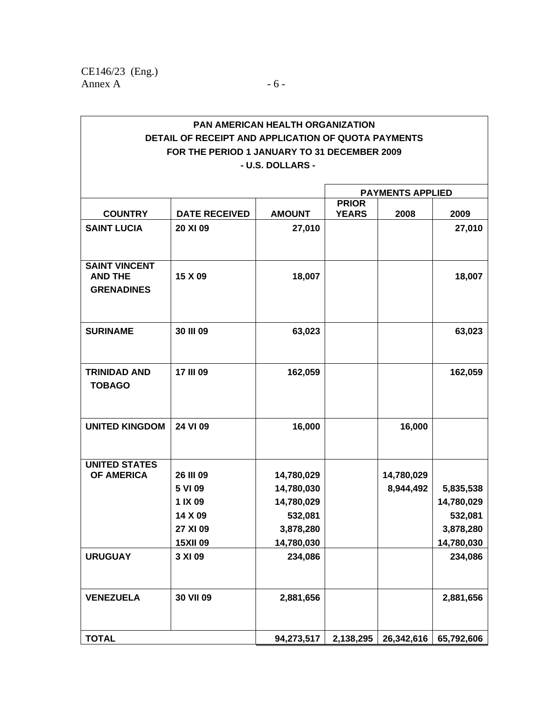|                                                             |                                                                           |                                                                              | <b>PAYMENTS APPLIED</b>      |                         |                                                               |
|-------------------------------------------------------------|---------------------------------------------------------------------------|------------------------------------------------------------------------------|------------------------------|-------------------------|---------------------------------------------------------------|
| <b>COUNTRY</b>                                              | <b>DATE RECEIVED</b>                                                      | <b>AMOUNT</b>                                                                | <b>PRIOR</b><br><b>YEARS</b> | 2008                    | 2009                                                          |
| <b>SAINT LUCIA</b>                                          | 20 XI 09                                                                  | 27,010                                                                       |                              |                         | 27,010                                                        |
| <b>SAINT VINCENT</b><br><b>AND THE</b><br><b>GRENADINES</b> | 15 X 09                                                                   | 18,007                                                                       |                              |                         | 18,007                                                        |
| <b>SURINAME</b>                                             | 30 III 09                                                                 | 63,023                                                                       |                              |                         | 63,023                                                        |
| <b>TRINIDAD AND</b><br><b>TOBAGO</b>                        | 17 III 09                                                                 | 162,059                                                                      |                              |                         | 162,059                                                       |
| <b>UNITED KINGDOM</b>                                       | 24 VI 09                                                                  | 16,000                                                                       |                              | 16,000                  |                                                               |
| <b>UNITED STATES</b><br><b>OF AMERICA</b>                   | 26 III 09<br>5 VI 09<br>1 IX 09<br>14 X 09<br>27 XI 09<br><b>15XII 09</b> | 14,780,029<br>14,780,030<br>14,780,029<br>532,081<br>3,878,280<br>14,780,030 |                              | 14,780,029<br>8,944,492 | 5,835,538<br>14,780,029<br>532,081<br>3,878,280<br>14,780,030 |
| <b>URUGUAY</b>                                              | 3 XI 09                                                                   | 234,086                                                                      |                              |                         | 234,086                                                       |
| <b>VENEZUELA</b>                                            | 30 VII 09                                                                 | 2,881,656                                                                    |                              |                         | 2,881,656                                                     |
| <b>TOTAL</b>                                                |                                                                           | 94,273,517                                                                   | 2,138,295                    | 26,342,616              | 65,792,606                                                    |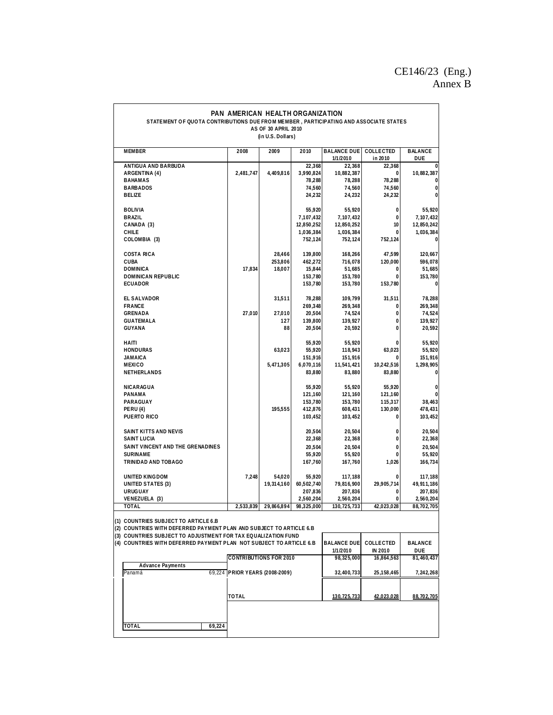## CE146/23 (Eng.) Annex B

| STATEMENT OF QUOTA CONTRIBUTIONS DUE FROM MEMBER, PARTICIPATING AND ASSOCIATE STATES                        | PAN AMERICAN HEALTH ORGANIZATION | AS OF 30 APRIL 2010<br>(in U.S. Dollars) |            |                                |                       |                       |
|-------------------------------------------------------------------------------------------------------------|----------------------------------|------------------------------------------|------------|--------------------------------|-----------------------|-----------------------|
| <b>MEMBER</b>                                                                                               | 2008                             | 2009                                     | 2010       | <b>BALANCE DUE</b><br>1/1/2010 | COLLECTED<br>in 2010  | <b>BALANCE</b><br>DUE |
| ANTIGUA AND BARBUDA                                                                                         |                                  |                                          | 22,368     | 22,368                         | 22,368                |                       |
| ARGENTINA (4)                                                                                               | 2,481,747                        | 4,409,816                                | 3,990,824  | 10,882,387                     | 0                     | 10,882,387            |
| <b>BAHAMAS</b>                                                                                              |                                  |                                          | 78,288     | 78,288                         | 78,288                | 0                     |
| <b>BARBADOS</b>                                                                                             |                                  |                                          | 74,560     | 74,560                         | 74,560                | $\bf{0}$              |
| <b>BELIZE</b>                                                                                               |                                  |                                          | 24,232     | 24,232                         | 24,232                | $\bf{0}$              |
| <b>BOLIVIA</b>                                                                                              |                                  |                                          | 55,920     | 55,920                         | 0                     | 55,920                |
| <b>BRAZIL</b>                                                                                               |                                  |                                          | 7,107,432  | 7,107,432                      | 0                     | 7,107,432             |
| CANADA (3)                                                                                                  |                                  |                                          | 12,850,252 | 12,850,252                     | 10                    | 12,850,242            |
| <b>CHILE</b>                                                                                                |                                  |                                          | 1,036,384  | 1,036,384                      | 0                     | 1,036,384             |
| COLOMBIA (3)                                                                                                |                                  |                                          | 752,124    | 752,124                        | 752,124               | $\overline{0}$        |
| <b>COSTA RICA</b>                                                                                           |                                  | 28,466                                   | 139,800    | 168,266                        | 47,599                | 120,667               |
| <b>CUBA</b>                                                                                                 |                                  | 253,806                                  | 462,272    | 716,078                        | 120,000               | 596,078               |
| <b>DOMINICA</b>                                                                                             | 17,834                           | 18,007                                   | 15,844     | 51,685                         | 0                     | 51,685                |
| <b>DOMINICAN REPUBLIC</b>                                                                                   |                                  |                                          | 153,780    | 153,780                        | 0                     | 153,780               |
| <b>ECUADOR</b>                                                                                              |                                  |                                          | 153,780    | 153,780                        | 153,780               | $\overline{0}$        |
| EL SALVADOR                                                                                                 |                                  | 31,511                                   | 78,288     | 109,799                        | 31,511                | 78,288                |
| <b>FRANCE</b>                                                                                               |                                  |                                          | 269,348    | 269,348                        | 0                     | 269,348               |
| <b>GRENADA</b>                                                                                              | 27,010                           | 27,010                                   | 20,504     | 74,524                         | 0                     | 74,524                |
| <b>GUATEMALA</b>                                                                                            |                                  | 127                                      | 139,800    | 139,927                        | 0                     | 139,927               |
| <b>GUYANA</b>                                                                                               |                                  | 88                                       | 20,504     | 20,592                         | 0                     | 20,592                |
| HAITI                                                                                                       |                                  |                                          | 55,920     | 55,920                         | 0                     | 55,920                |
| <b>HONDURAS</b>                                                                                             |                                  | 63,023                                   | 55,920     | 118,943                        | 63,023                | 55,920                |
| <b>JAMAICA</b>                                                                                              |                                  |                                          | 151,916    | 151,916                        | 0                     | 151,916               |
| <b>MEXICO</b>                                                                                               |                                  | 5,471,305                                | 6,070,116  | 11,541,421                     | 10,242,516            | 1,298,905             |
| NETHERLANDS                                                                                                 |                                  |                                          | 83,880     | 83,880                         | 83,880                | 0                     |
| <b>NICARAGUA</b>                                                                                            |                                  |                                          | 55,920     | 55,920                         | 55,920                | 0                     |
| PANAMA                                                                                                      |                                  |                                          | 121,160    | 121,160                        | 121,160               |                       |
| PARAGUAY                                                                                                    |                                  |                                          | 153,780    | 153,780                        | 115,317               | 38,463                |
| <b>PERU(4)</b>                                                                                              |                                  | 195,555                                  | 412,876    | 608,431                        | 130,000               | 478,431               |
| PUERTO RICO                                                                                                 |                                  |                                          | 103,452    | 103,452                        | 0                     | 103,452               |
| SAINT KITTS AND NEVIS                                                                                       |                                  |                                          | 20,504     | 20,504                         | 0                     | 20,504                |
| <b>SAINT LUCIA</b>                                                                                          |                                  |                                          | 22,368     | 22,368                         | 0                     | 22,368                |
| SAINT VINCENT AND THE GRENADINES                                                                            |                                  |                                          | 20,504     | 20,504                         | 0                     | 20,504                |
| <b>SURINAME</b>                                                                                             |                                  |                                          | 55,920     | 55,920                         | 0                     | 55,920                |
| TRINIDAD AND TOBAGO                                                                                         |                                  |                                          | 167,760    | 167,760                        | 1,026                 | 166,734               |
| <b>UNITED KINGDOM</b>                                                                                       | 7,248                            | 54,020                                   | 55,920     | 117,188                        | 0                     | 117,188               |
| UNITED STATES (3)                                                                                           |                                  | 19,314,160                               | 60,502,740 | 79,816,900                     | 29,905,714            | 49,911,186            |
| <b>URUGUAY</b>                                                                                              |                                  |                                          | 207,836    | 207,836                        | 0                     | 207,836               |
| VENEZUELA (3)                                                                                               |                                  |                                          | 2,560,204  | 2,560,204                      | 0                     | 2,560,204             |
| TOTAL                                                                                                       | 2,533,839                        | 29,866,894                               | 98,325,000 | 130, 725, 733                  | 42,023,028            | 88,702,705            |
| (1) COUNTRIES SUBJECT TO ARTICLE 6.B<br>(2) COUNTRIES WITH DEFERRED PAYMENT PLAN AND SUBJECT TO ARTICLE 6.B |                                  |                                          |            |                                |                       |                       |
| (3) COUNTRIES SUBJECT TO ADJUSTMENT FOR TAX EQUALIZATION FUND                                               |                                  |                                          |            |                                |                       |                       |
| (4) COUNTRIES WITH DEFERRED PAYMENT PLAN NOT SUBJECT TO ARTICLE 6.B                                         |                                  |                                          |            | <b>BALANCE DUE</b>             | COLLECTED             | <b>BALANCE</b>        |
|                                                                                                             | <b>CONTRIBUTIONS FOR 2010</b>    |                                          |            | 1/1/2010<br>98,325,000         | IN 2010<br>16,864,563 | DUE<br>81,460,437     |
| <b>Advance Payments</b><br>Panamá                                                                           |                                  |                                          |            | 32,400,733                     |                       |                       |
|                                                                                                             | 69,224 PRIOR YEARS (2008-2009)   |                                          |            |                                | 25, 158, 465          | 7,242,268             |
|                                                                                                             |                                  |                                          |            |                                |                       |                       |
|                                                                                                             | <b>TOTAL</b>                     |                                          |            | 130.725.733                    | 42.023.028            | 88.702.705            |
|                                                                                                             |                                  |                                          |            |                                |                       |                       |
| <b>TOTAL</b><br>69,224                                                                                      |                                  |                                          |            |                                |                       |                       |
|                                                                                                             |                                  |                                          |            |                                |                       |                       |
|                                                                                                             |                                  |                                          |            |                                |                       |                       |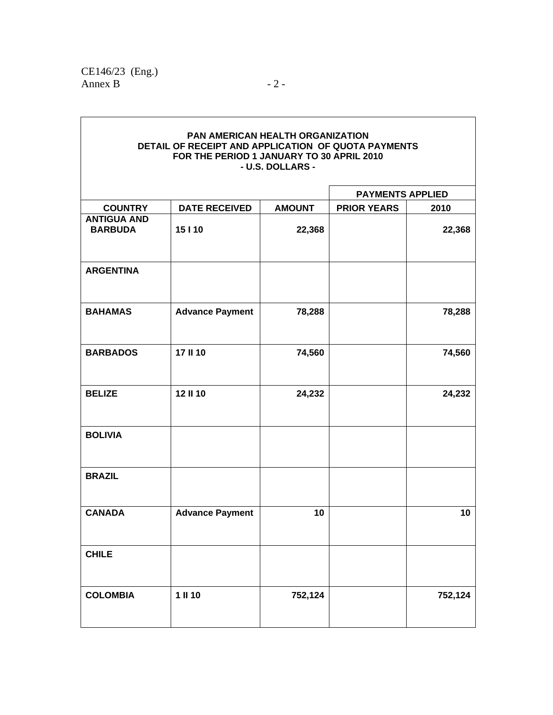|                                      | PAN AMERICAN HEALTH ORGANIZATION<br>DETAIL OF RECEIPT AND APPLICATION OF QUOTA PAYMENTS<br>FOR THE PERIOD 1 JANUARY TO 30 APRIL 2010 | - U.S. DOLLARS - |                         |         |
|--------------------------------------|--------------------------------------------------------------------------------------------------------------------------------------|------------------|-------------------------|---------|
|                                      |                                                                                                                                      |                  | <b>PAYMENTS APPLIED</b> |         |
| <b>COUNTRY</b>                       | <b>DATE RECEIVED</b>                                                                                                                 | <b>AMOUNT</b>    | <b>PRIOR YEARS</b>      | 2010    |
| <b>ANTIGUA AND</b><br><b>BARBUDA</b> | 15   10                                                                                                                              | 22,368           |                         | 22,368  |
| <b>ARGENTINA</b>                     |                                                                                                                                      |                  |                         |         |
| <b>BAHAMAS</b>                       | <b>Advance Payment</b>                                                                                                               | 78,288           |                         | 78,288  |
| <b>BARBADOS</b>                      | 17 II 10                                                                                                                             | 74,560           |                         | 74,560  |
| <b>BELIZE</b>                        | 12 II 10                                                                                                                             | 24,232           |                         | 24,232  |
| <b>BOLIVIA</b>                       |                                                                                                                                      |                  |                         |         |
| <b>BRAZIL</b>                        |                                                                                                                                      |                  |                         |         |
| <b>CANADA</b>                        | <b>Advance Payment</b>                                                                                                               | 10               |                         | 10      |
| <b>CHILE</b>                         |                                                                                                                                      |                  |                         |         |
| <b>COLOMBIA</b>                      | 1 II 10                                                                                                                              | 752,124          |                         | 752,124 |

٦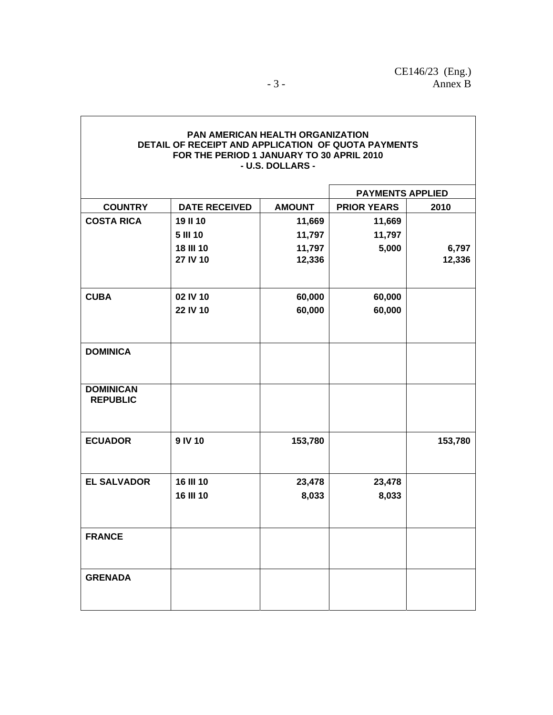|                    |                      |               | <b>PAYMENTS APPLIED</b> |         |  |
|--------------------|----------------------|---------------|-------------------------|---------|--|
| <b>COUNTRY</b>     | <b>DATE RECEIVED</b> | <b>AMOUNT</b> | <b>PRIOR YEARS</b>      | 2010    |  |
| <b>COSTA RICA</b>  | 19 II 10             | 11,669        | 11,669                  |         |  |
|                    | 5 III 10             | 11,797        | 11,797                  |         |  |
|                    | <b>18 III 10</b>     | 11,797        | 5,000                   | 6,797   |  |
|                    | 27 IV 10             | 12,336        |                         | 12,336  |  |
|                    |                      |               |                         |         |  |
| <b>CUBA</b>        | 02 IV 10             | 60,000        | 60,000                  |         |  |
|                    | 22 IV 10             | 60,000        | 60,000                  |         |  |
|                    |                      |               |                         |         |  |
| <b>DOMINICA</b>    |                      |               |                         |         |  |
|                    |                      |               |                         |         |  |
| <b>DOMINICAN</b>   |                      |               |                         |         |  |
| <b>REPUBLIC</b>    |                      |               |                         |         |  |
|                    |                      |               |                         |         |  |
| <b>ECUADOR</b>     | 9 IV 10              | 153,780       |                         | 153,780 |  |
|                    |                      |               |                         |         |  |
| <b>EL SALVADOR</b> | 16 III 10            | 23,478        | 23,478                  |         |  |
|                    | 16 III 10            | 8,033         | 8,033                   |         |  |
|                    |                      |               |                         |         |  |
|                    |                      |               |                         |         |  |
| <b>FRANCE</b>      |                      |               |                         |         |  |
|                    |                      |               |                         |         |  |
| <b>GRENADA</b>     |                      |               |                         |         |  |
|                    |                      |               |                         |         |  |
|                    |                      |               |                         |         |  |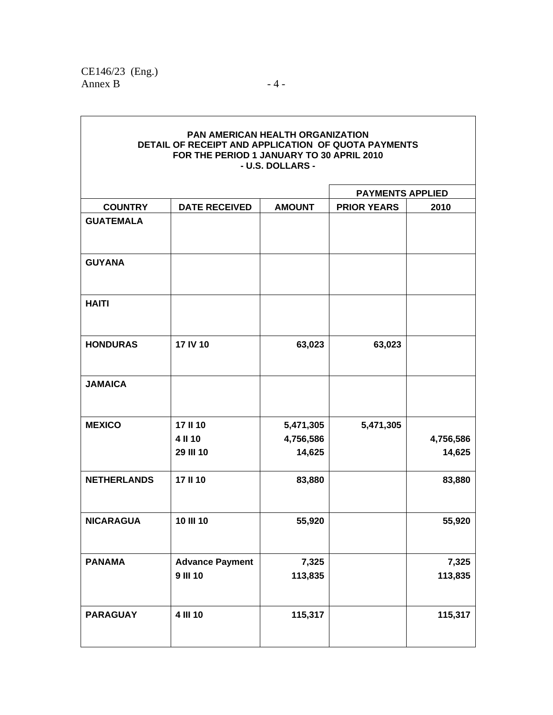|                         | PAN AMERICAN HEALTH ORGANIZATION<br>DETAIL OF RECEIPT AND APPLICATION OF QUOTA PAYMENTS<br>FOR THE PERIOD 1 JANUARY TO 30 APRIL 2010 | - U.S. DOLLARS - |                    |           |  |  |  |  |  |
|-------------------------|--------------------------------------------------------------------------------------------------------------------------------------|------------------|--------------------|-----------|--|--|--|--|--|
| <b>PAYMENTS APPLIED</b> |                                                                                                                                      |                  |                    |           |  |  |  |  |  |
| <b>COUNTRY</b>          | <b>DATE RECEIVED</b>                                                                                                                 | <b>AMOUNT</b>    | <b>PRIOR YEARS</b> | 2010      |  |  |  |  |  |
| <b>GUATEMALA</b>        |                                                                                                                                      |                  |                    |           |  |  |  |  |  |
| <b>GUYANA</b>           |                                                                                                                                      |                  |                    |           |  |  |  |  |  |
| <b>HAITI</b>            |                                                                                                                                      |                  |                    |           |  |  |  |  |  |
| <b>HONDURAS</b>         | 17 IV 10                                                                                                                             | 63,023           | 63,023             |           |  |  |  |  |  |
| <b>JAMAICA</b>          |                                                                                                                                      |                  |                    |           |  |  |  |  |  |
| <b>MEXICO</b>           | 17 II 10                                                                                                                             | 5,471,305        | 5,471,305          |           |  |  |  |  |  |
|                         | 4 II 10                                                                                                                              | 4,756,586        |                    | 4,756,586 |  |  |  |  |  |
|                         | 29 III 10                                                                                                                            | 14,625           |                    | 14,625    |  |  |  |  |  |
| <b>NETHERLANDS</b>      | 17 II 10                                                                                                                             | 83,880           |                    | 83,880    |  |  |  |  |  |
| <b>NICARAGUA</b>        | 10 III 10                                                                                                                            | 55,920           |                    | 55,920    |  |  |  |  |  |
| <b>PANAMA</b>           | <b>Advance Payment</b>                                                                                                               | 7,325            |                    | 7,325     |  |  |  |  |  |
|                         | <b>9 III 10</b>                                                                                                                      | 113,835          |                    | 113,835   |  |  |  |  |  |
| <b>PARAGUAY</b>         | 4 III 10                                                                                                                             | 115,317          |                    | 115,317   |  |  |  |  |  |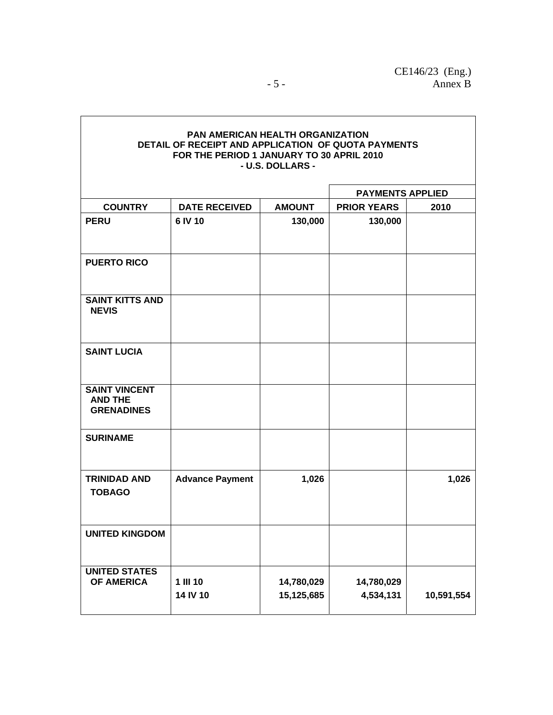|                                                             |                        |                          | <b>PAYMENTS APPLIED</b> |            |  |
|-------------------------------------------------------------|------------------------|--------------------------|-------------------------|------------|--|
| <b>COUNTRY</b>                                              | <b>DATE RECEIVED</b>   | <b>AMOUNT</b>            | <b>PRIOR YEARS</b>      | 2010       |  |
| <b>PERU</b>                                                 | 6 IV 10                | 130,000                  | 130,000                 |            |  |
| <b>PUERTO RICO</b>                                          |                        |                          |                         |            |  |
| <b>SAINT KITTS AND</b><br><b>NEVIS</b>                      |                        |                          |                         |            |  |
| <b>SAINT LUCIA</b>                                          |                        |                          |                         |            |  |
| <b>SAINT VINCENT</b><br><b>AND THE</b><br><b>GRENADINES</b> |                        |                          |                         |            |  |
| <b>SURINAME</b>                                             |                        |                          |                         |            |  |
| <b>TRINIDAD AND</b><br><b>TOBAGO</b>                        | <b>Advance Payment</b> | 1,026                    |                         | 1,026      |  |
| <b>UNITED KINGDOM</b>                                       |                        |                          |                         |            |  |
| <b>UNITED STATES</b><br><b>OF AMERICA</b>                   | 1 III 10<br>14 IV 10   | 14,780,029<br>15,125,685 | 14,780,029<br>4,534,131 | 10,591,554 |  |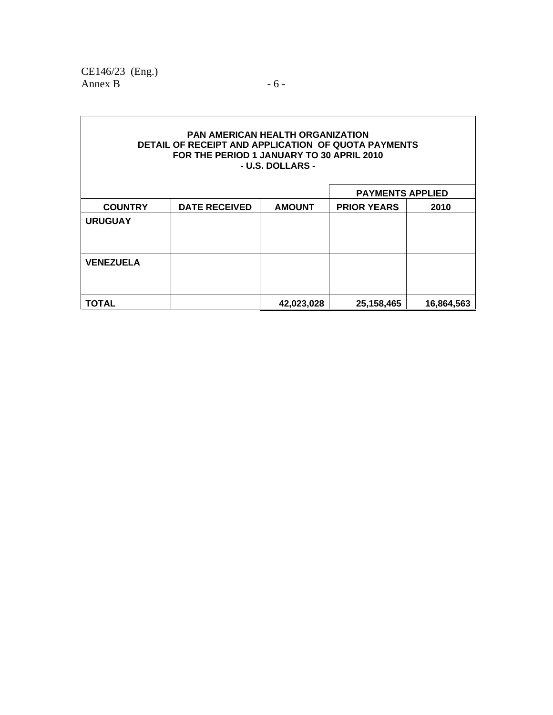CE146/23 (Eng.) Annex B  $-6$  -

|                  |                      |               | <b>PAYMENTS APPLIED</b> |            |  |
|------------------|----------------------|---------------|-------------------------|------------|--|
| <b>COUNTRY</b>   | <b>DATE RECEIVED</b> | <b>AMOUNT</b> | <b>PRIOR YEARS</b>      | 2010       |  |
| <b>URUGUAY</b>   |                      |               |                         |            |  |
|                  |                      |               |                         |            |  |
|                  |                      |               |                         |            |  |
| <b>VENEZUELA</b> |                      |               |                         |            |  |
|                  |                      |               |                         |            |  |
|                  |                      |               |                         |            |  |
| TOTAL            |                      | 42,023,028    | 25,158,465              | 16,864,563 |  |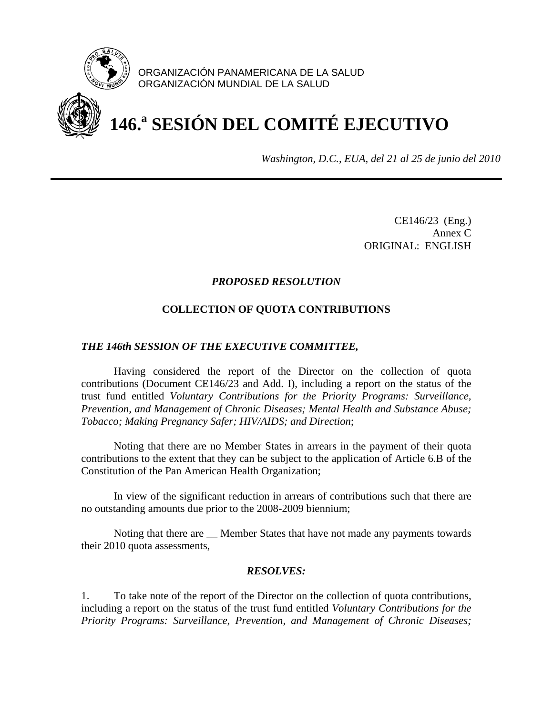

ORGANIZACIÓN PANAMERICANA DE LA SALUD ORGANIZACIÓN MUNDIAL DE LA SALUD

# **146.a SESIÓN DEL COMITÉ EJECUTIVO**

*Washington, D.C., EUA, del 21 al 25 de junio del 2010*

 CE146/23 (Eng.) Annex C ORIGINAL: ENGLISH

# *PROPOSED RESOLUTION*

# **COLLECTION OF QUOTA CONTRIBUTIONS**

## *THE 146th SESSION OF THE EXECUTIVE COMMITTEE,*

 Having considered the report of the Director on the collection of quota contributions (Document CE146/23 and Add. I), including a report on the status of the trust fund entitled *Voluntary Contributions for the Priority Programs: Surveillance, Prevention, and Management of Chronic Diseases; Mental Health and Substance Abuse; Tobacco; Making Pregnancy Safer; HIV/AIDS; and Direction*;

 Noting that there are no Member States in arrears in the payment of their quota contributions to the extent that they can be subject to the application of Article 6.B of the Constitution of the Pan American Health Organization;

 In view of the significant reduction in arrears of contributions such that there are no outstanding amounts due prior to the 2008-2009 biennium;

 Noting that there are \_\_ Member States that have not made any payments towards their 2010 quota assessments,

# *RESOLVES:*

1. To take note of the report of the Director on the collection of quota contributions, including a report on the status of the trust fund entitled *Voluntary Contributions for the Priority Programs: Surveillance, Prevention, and Management of Chronic Diseases;*